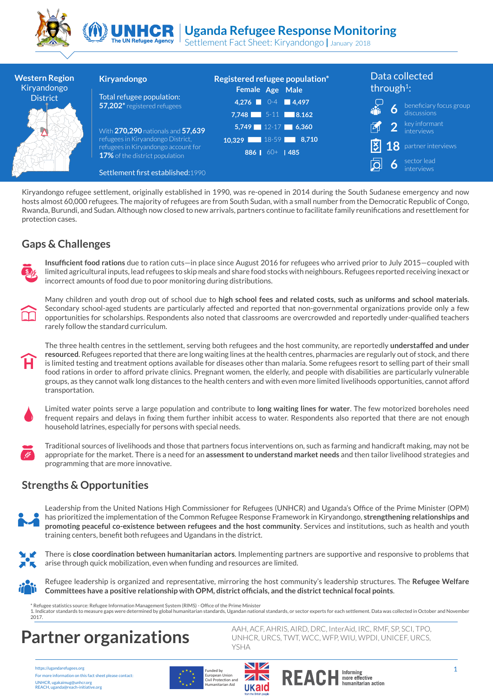



Settlement Fact Sheet: Kiryandongo **|** January 2018 The UN Refugee Agency

| <b>Western Region</b><br>Kiryandongo | <b>Kiryandongo</b>                                                           | Registered refugee population*<br>Female Age Male | Data collected<br>through <sup>1</sup> :                                                                   |
|--------------------------------------|------------------------------------------------------------------------------|---------------------------------------------------|------------------------------------------------------------------------------------------------------------|
| <b>District</b>                      | Total refugee population:<br>57,202* registered refugees                     | $4,276$ 0-4 4,497                                 |                                                                                                            |
|                                      |                                                                              | 7,748 $5-11$ $8.162$                              | $\begin{array}{ll}\n\bullet & \text{beneficiary focus group} \\ \bullet & \text{discussions}\n\end{array}$ |
|                                      | With 270,290 nationals and 57,639                                            | $5,749$ 12-17 6,360                               | <b>2</b> Rev informant                                                                                     |
|                                      | refugees in Kiryandongo District,                                            | $10,329$ 18-59 8,710                              | <b>18</b> partner interviews                                                                               |
|                                      | refugees in Kiryandongo account for<br><b>17%</b> of the district population | 886 60+ $ $ 485                                   |                                                                                                            |
|                                      | Settlement first established: 1990                                           |                                                   | sector lead                                                                                                |

Kiryandongo refugee settlement, originally established in 1990, was re-opened in 2014 during the South Sudanese emergency and now hosts almost 60,000 refugees. The majority of refugees are from South Sudan, with a small number from the Democratic Republic of Congo, Rwanda, Burundi, and Sudan. Although now closed to new arrivals, partners continue to facilitate family reunifications and resettlement for protection cases.

## **Gaps & Challenges**

**Insufficient food rations** due to ration cuts—in place since August 2016 for refugees who arrived prior to July 2015—coupled with limited agricultural inputs, lead refugees to skip meals and share food stocks with neighbours. Refugees reported receiving inexact or incorrect amounts of food due to poor monitoring during distributions.



Many children and youth drop out of school due to **high school fees and related costs, such as uniforms and school materials**. Secondary school-aged students are particularly affected and reported that non-governmental organizations provide only a few opportunities for scholarships. Respondents also noted that classrooms are overcrowded and reportedly under-qualified teachers rarely follow the standard curriculum.

The three health centres in the settlement, serving both refugees and the host community, are reportedly **understaffed and under resourced**. Refugees reported that there are long waiting lines at the health centres, pharmacies are regularly out of stock, and there is limited testing and treatment options available for diseases other than malaria. Some refugees resort to selling part of their small food rations in order to afford private clinics. Pregnant women, the elderly, and people with disabilities are particularly vulnerable groups, as they cannot walk long distances to the health centers and with even more limited livelihoods opportunities, cannot afford transportation.



Limited water points serve a large population and contribute to **long waiting lines for water**. The few motorized boreholes need frequent repairs and delays in fixing them further inhibit access to water. Respondents also reported that there are not enough household latrines, especially for persons with special needs.

Traditional sources of livelihoods and those that partners focus interventions on, such as farming and handicraft making, may not be appropriate for the market. There is a need for an **assessment to understand market needs** and then tailor livelihood strategies and programming that are more innovative.

## **Strengths & Opportunities**

Leadership from the United Nations High Commissioner for Refugees (UNHCR) and Uganda's Office of the Prime Minister (OPM) has prioritized the implementation of the Common Refugee Response Framework in Kiryandongo, **strengthening relationships and promoting peaceful co-existence between refugees and the host community**. Services and institutions, such as health and youth training centers, benefit both refugees and Ugandans in the district.



There is **close coordination between humanitarian actors**. Implementing partners are supportive and responsive to problems that arise through quick mobilization, even when funding and resources are limited.



Refugee leadership is organized and representative, mirroring the host community's leadership structures. The **Refugee Welfare Committees have a positive relationship with OPM, district officials, and the district technical focal points**.

\* Refugee statistics source: Refugee Information Management System (RIMS) - Office of the Prime Minister<br>1. Indicator standards to measure gaps were determined by global humanitarian standards, Ugandan national standards, 2017.

# **Partner organizations**

https://ugandarefugees.org For more information on this fact sheet please contact: UNHCR, ugakaimug@unhcr.org REACH, uganda@reach-initiative.org





AAH, ACF, AHRIS, AIRD, DRC, InterAid, IRC, RMF, SP, SCI, TPO, UNHCR, URCS, TWT, WCC, WFP, WIU, WPDI, UNICEF, URCS,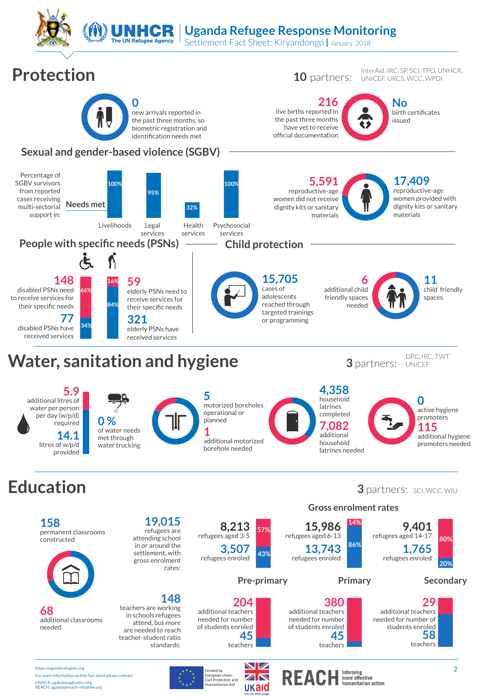

**68** additional classrooms needed

https://ugandarefugees.org For more information on this fact sheet please contact: UNHCR, ugakaimug@unhcr.org REACH, uganda@reach-initiative.org



**148**

standards:

teachers are working in schools refugees attend, but more are needed to reach teacher-student ratio

European Union<br>Civil Protection and<br>Humanitarian Aid

 $\sum_{\text{triglet only} \text{ linear function and } \text{ linear function}}$ <br>  $\sum_{\text{var}(P) \text{ linear function and } \text{ linear function}}$ 

additional teachers needed for number of students enroled

**204**

**45** teachers

**58**

**29**

additional hygiene promoters needed



teachers needed for number of students enroled